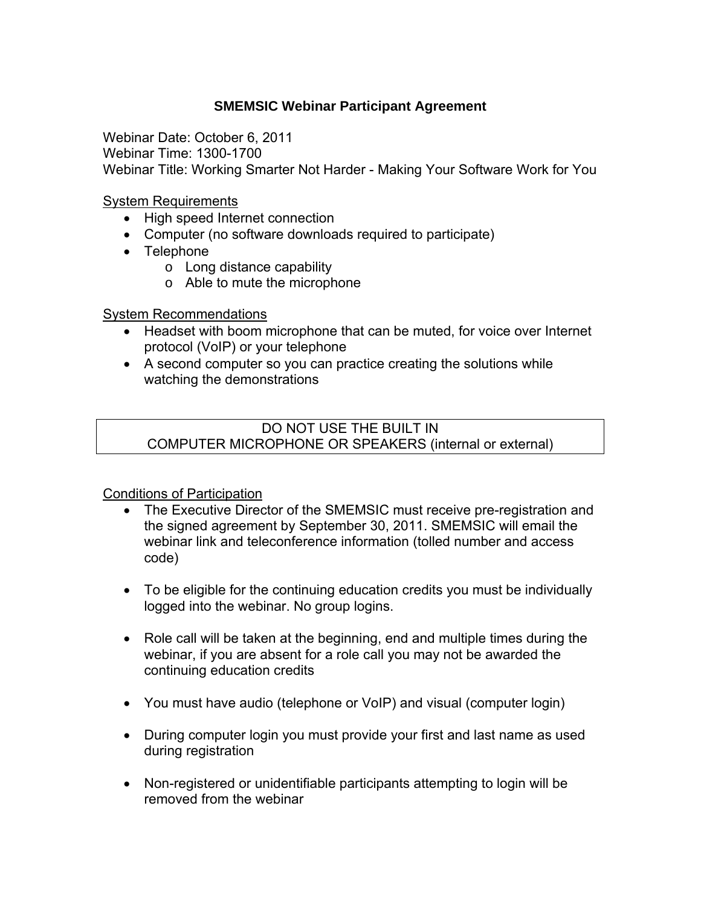## **SMEMSIC Webinar Participant Agreement**

Webinar Date: October 6, 2011 Webinar Time: 1300-1700 Webinar Title: Working Smarter Not Harder - Making Your Software Work for You

System Requirements

- High speed Internet connection
- Computer (no software downloads required to participate)
- Telephone
	- o Long distance capability
	- o Able to mute the microphone

## System Recommendations

- Headset with boom microphone that can be muted, for voice over Internet protocol (VoIP) or your telephone
- A second computer so you can practice creating the solutions while watching the demonstrations

DO NOT USE THE BUILT IN COMPUTER MICROPHONE OR SPEAKERS (internal or external)

Conditions of Participation

- The Executive Director of the SMEMSIC must receive pre-registration and the signed agreement by September 30, 2011. SMEMSIC will email the webinar link and teleconference information (tolled number and access code)
- To be eligible for the continuing education credits you must be individually logged into the webinar. No group logins.
- Role call will be taken at the beginning, end and multiple times during the webinar, if you are absent for a role call you may not be awarded the continuing education credits
- You must have audio (telephone or VoIP) and visual (computer login)
- During computer login you must provide your first and last name as used during registration
- Non-registered or unidentifiable participants attempting to login will be removed from the webinar